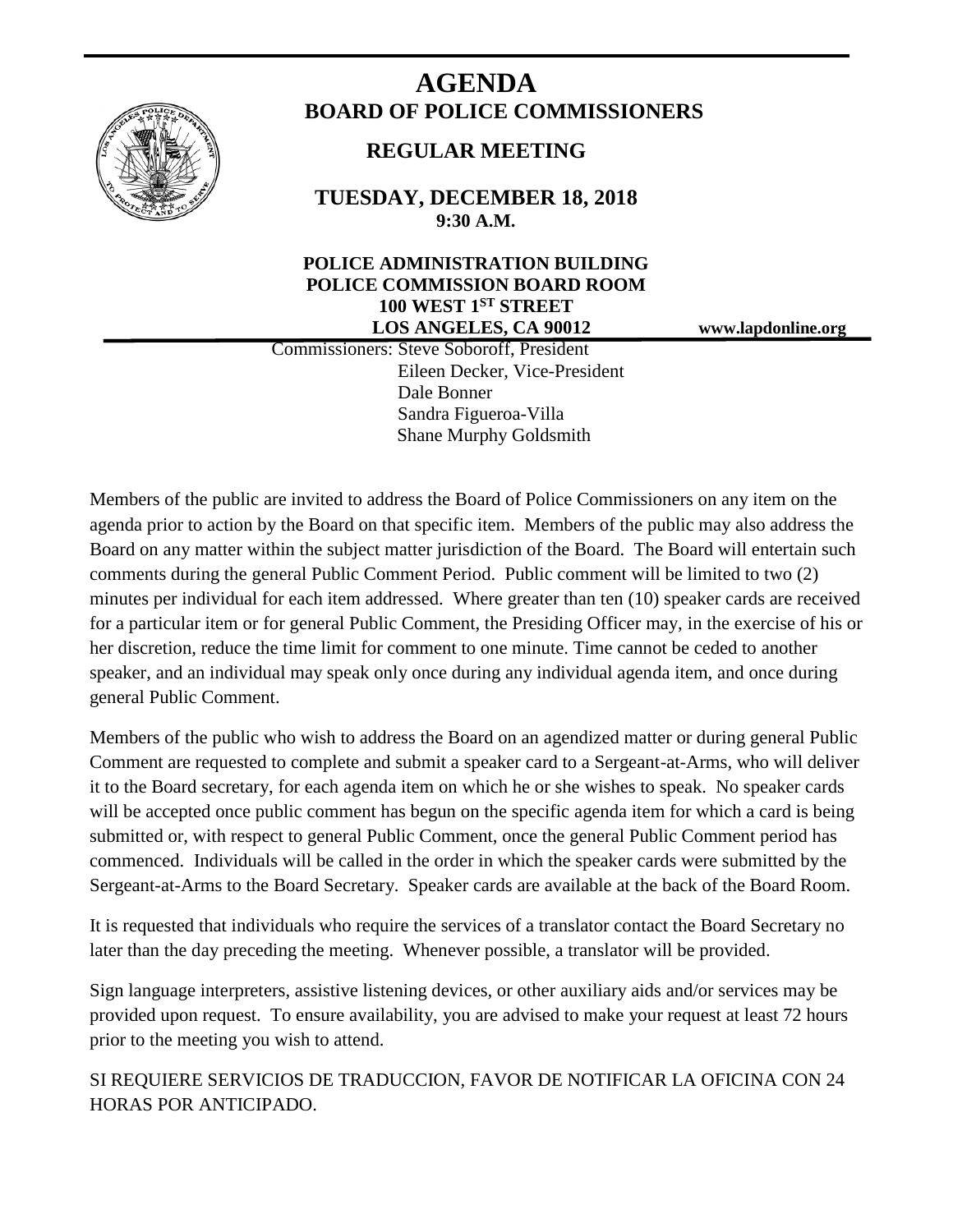

# **AGENDA BOARD OF POLICE COMMISSIONERS**

# **REGULAR MEETING**

**TUESDAY, DECEMBER 18, 2018 9:30 A.M.**

# **POLICE ADMINISTRATION BUILDING POLICE COMMISSION BOARD ROOM 100 WEST 1ST STREET LOS ANGELES, CA 90012 www.lapdonline.org**

 Commissioners: Steve Soboroff, President Eileen Decker, Vice-President Dale Bonner Sandra Figueroa-Villa Shane Murphy Goldsmith

Members of the public are invited to address the Board of Police Commissioners on any item on the agenda prior to action by the Board on that specific item. Members of the public may also address the Board on any matter within the subject matter jurisdiction of the Board. The Board will entertain such comments during the general Public Comment Period. Public comment will be limited to two (2) minutes per individual for each item addressed. Where greater than ten (10) speaker cards are received for a particular item or for general Public Comment, the Presiding Officer may, in the exercise of his or her discretion, reduce the time limit for comment to one minute. Time cannot be ceded to another speaker, and an individual may speak only once during any individual agenda item, and once during general Public Comment.

Members of the public who wish to address the Board on an agendized matter or during general Public Comment are requested to complete and submit a speaker card to a Sergeant-at-Arms, who will deliver it to the Board secretary, for each agenda item on which he or she wishes to speak. No speaker cards will be accepted once public comment has begun on the specific agenda item for which a card is being submitted or, with respect to general Public Comment, once the general Public Comment period has commenced. Individuals will be called in the order in which the speaker cards were submitted by the Sergeant-at-Arms to the Board Secretary. Speaker cards are available at the back of the Board Room.

It is requested that individuals who require the services of a translator contact the Board Secretary no later than the day preceding the meeting. Whenever possible, a translator will be provided.

Sign language interpreters, assistive listening devices, or other auxiliary aids and/or services may be provided upon request. To ensure availability, you are advised to make your request at least 72 hours prior to the meeting you wish to attend.

SI REQUIERE SERVICIOS DE TRADUCCION, FAVOR DE NOTIFICAR LA OFICINA CON 24 HORAS POR ANTICIPADO.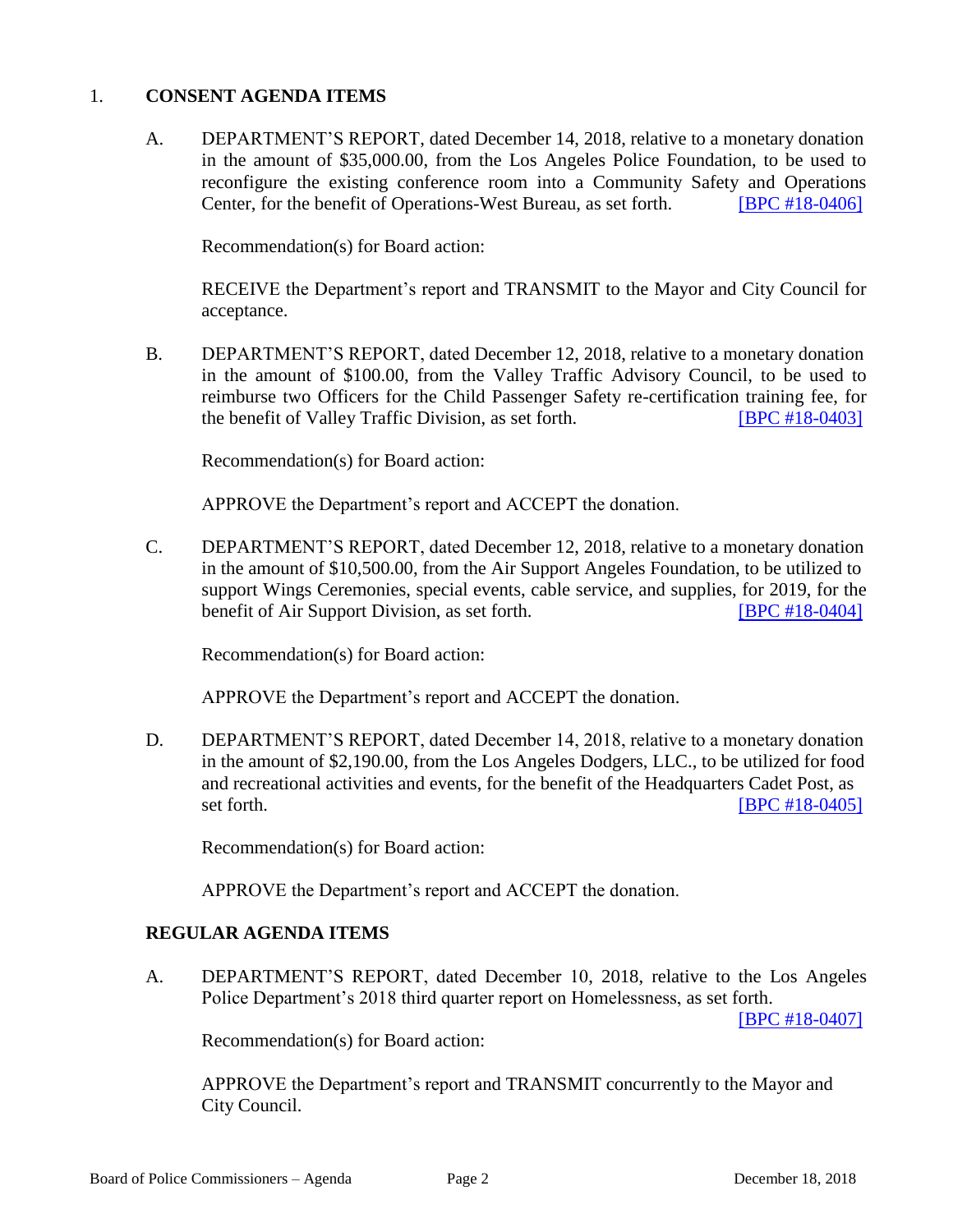#### 1. **CONSENT AGENDA ITEMS**

A. DEPARTMENT'S REPORT, dated December 14, 2018, relative to a monetary donation in the amount of \$35,000.00, from the Los Angeles Police Foundation, to be used to reconfigure the existing conference room into a Community Safety and Operations Center, for the benefit of Operations-West Bureau, as set forth. [\[BPC #18-0406\]](http://www.lapdpolicecom.lacity.org/121818/BPC_18-0406.pdf)

Recommendation(s) for Board action:

RECEIVE the Department's report and TRANSMIT to the Mayor and City Council for acceptance.

B. DEPARTMENT'S REPORT, dated December 12, 2018, relative to a monetary donation in the amount of \$100.00, from the Valley Traffic Advisory Council, to be used to reimburse two Officers for the Child Passenger Safety re-certification training fee, for the benefit of Valley Traffic Division, as set forth. [\[BPC #18-0403\]](http://www.lapdpolicecom.lacity.org/121818/BPC_18-0403.pdf)

Recommendation(s) for Board action:

APPROVE the Department's report and ACCEPT the donation.

C. DEPARTMENT'S REPORT, dated December 12, 2018, relative to a monetary donation in the amount of \$10,500.00, from the Air Support Angeles Foundation, to be utilized to support Wings Ceremonies, special events, cable service, and supplies, for 2019, for the benefit of Air Support Division, as set forth. **[\[BPC #18-0404\]](http://www.lapdpolicecom.lacity.org/121818/BPC_18-0404.pdf)** 

Recommendation(s) for Board action:

APPROVE the Department's report and ACCEPT the donation.

D. DEPARTMENT'S REPORT, dated December 14, 2018, relative to a monetary donation in the amount of \$2,190.00, from the Los Angeles Dodgers, LLC., to be utilized for food and recreational activities and events, for the benefit of the Headquarters Cadet Post, as set forth. **IBPC #18-0405** 

Recommendation(s) for Board action:

APPROVE the Department's report and ACCEPT the donation.

#### **REGULAR AGENDA ITEMS**

A. DEPARTMENT'S REPORT, dated December 10, 2018, relative to the Los Angeles Police Department's 2018 third quarter report on Homelessness, as set forth.

[\[BPC #18-0407\]](http://www.lapdpolicecom.lacity.org/121818/BPC_18-0407.pdf)

Recommendation(s) for Board action:

APPROVE the Department's report and TRANSMIT concurrently to the Mayor and City Council.